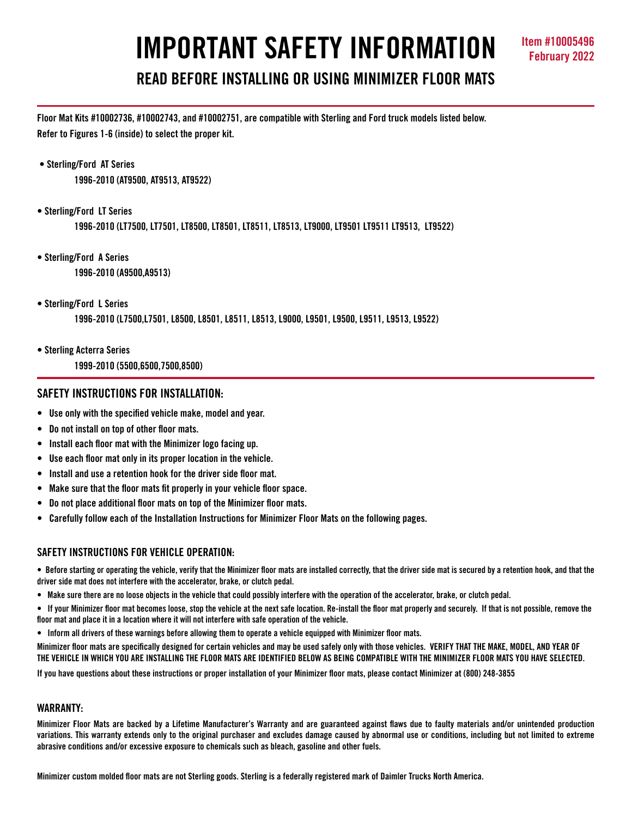# **IMPORTANT SAFETY INFORMATION Item #10005496**

# **READ BEFORE INSTALLING OR USING MINIMIZER FLOOR MATS**

**Floor Mat Kits #10002736, #10002743, and #10002751, are compatible with Sterling and Ford truck models listed below. Refer to Figures 1-6 (inside) to select the proper kit.** 

 **• Sterling/Ford AT Series** 

**1996-2010 (AT9500, AT9513, AT9522)**

**• Sterling/Ford LT Series** 

**1996-2010 (LT7500, LT7501, LT8500, LT8501, LT8511, LT8513, LT9000, LT9501 LT9511 LT9513, LT9522)** 

- **Sterling/Ford A Series 1996-2010 (A9500,A9513)**
- **Sterling/Ford L Series**

**1996-2010 (L7500,L7501, L8500, L8501, L8511, L8513, L9000, L9501, L9500, L9511, L9513, L9522)**

- **Sterling Acterra Series** 
	- **1999-2010 (5500,6500,7500,8500)**

# **SAFETY INSTRUCTIONS FOR INSTALLATION:**

- **Use only with the specified vehicle make, model and year.**
- **Do not install on top of other floor mats.**
- **Install each floor mat with the Minimizer logo facing up.**
- **Use each floor mat only in its proper location in the vehicle.**
- **Install and use a retention hook for the driver side floor mat.**
- **Make sure that the floor mats fit properly in your vehicle floor space.**
- **Do not place additional floor mats on top of the Minimizer floor mats.**
- **Carefully follow each of the Installation Instructions for Minimizer Floor Mats on the following pages.**

### **SAFFTY INSTRUCTIONS FOR VEHICLE OPERATION:**

**• Before starting or operating the vehicle, verify that the Minimizer floor mats are installed correctly, that the driver side mat is secured by a retention hook, and that the driver side mat does not interfere with the accelerator, brake, or clutch pedal.**

**• Make sure there are no loose objects in the vehicle that could possibly interfere with the operation of the accelerator, brake, or clutch pedal.**

**• If your Minimizer floor mat becomes loose, stop the vehicle at the next safe location. Re-install the floor mat properly and securely. If that is not possible, remove the floor mat and place it in a location where it will not interfere with safe operation of the vehicle.**

**• Inform all drivers of these warnings before allowing them to operate a vehicle equipped with Minimizer floor mats.**

**Minimizer floor mats are specifically designed for certain vehicles and may be used safely only with those vehicles. VERIFY THAT THE MAKE, MODEL, AND YEAR OF THE VEHICLE IN WHICH YOU ARE INSTALLING THE FLOOR MATS ARE IDENTIFIED BELOW AS BEING COMPATIBLE WITH THE MINIMIZER FLOOR MATS YOU HAVE SELECTED.** 

**If you have questions about these instructions or proper installation of your Minimizer floor mats, please contact Minimizer at (800) 248-3855**

#### **WARRANTY:**

**Minimizer Floor Mats are backed by a Lifetime Manufacturer's Warranty and are guaranteed against flaws due to faulty materials and/or unintended production variations. This warranty extends only to the original purchaser and excludes damage caused by abnormal use or conditions, including but not limited to extreme abrasive conditions and/or excessive exposure to chemicals such as bleach, gasoline and other fuels.**

**Minimizer custom molded floor mats are not Sterling goods. Sterling is a federally registered mark of Daimler Trucks North America.**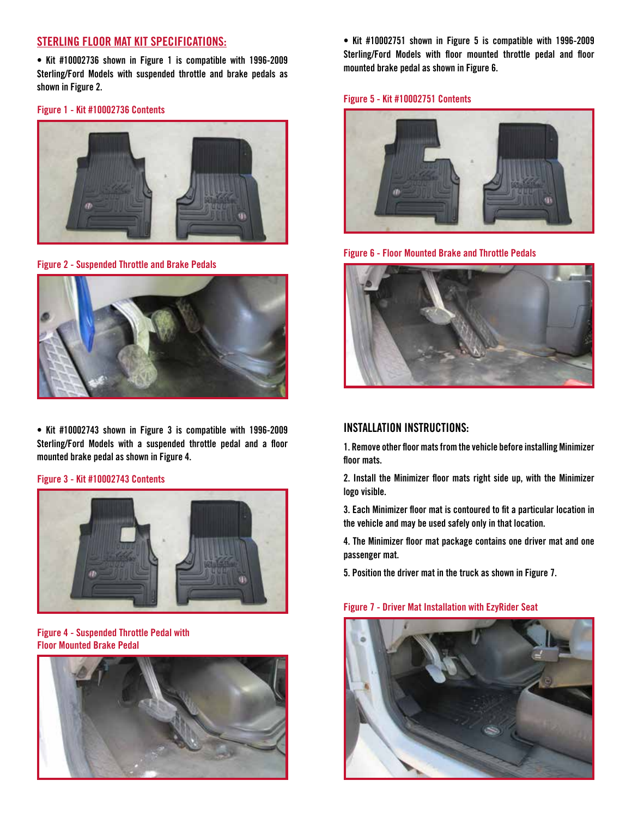# **STERLING FLOOR MAT KIT SPECIFICATIONS:**

**• Kit #10002736 shown in Figure 1 is compatible with 1996-2009 Sterling/Ford Models with suspended throttle and brake pedals as shown in Figure 2.**

**Figure 1 - Kit #10002736 Contents**



**Figure 2 - Suspended Throttle and Brake Pedals**



**• Kit #10002743 shown in Figure 3 is compatible with 1996-2009 Sterling/Ford Models with a suspended throttle pedal and a floor mounted brake pedal as shown in Figure 4.**

#### **Figure 3 - Kit #10002743 Contents**



**Figure 4 - Suspended Throttle Pedal with Floor Mounted Brake Pedal**



**• Kit #10002751 shown in Figure 5 is compatible with 1996-2009 Sterling/Ford Models with floor mounted throttle pedal and floor mounted brake pedal as shown in Figure 6.**

#### **Figure 5 - Kit #10002751 Contents**



**Figure 6 - Floor Mounted Brake and Throttle Pedals**



## **INSTALLATION INSTRUCTIONS:**

**1. Remove other floor mats from the vehicle before installing Minimizer floor mats.**

**2. Install the Minimizer floor mats right side up, with the Minimizer logo visible.**

**3. Each Minimizer floor mat is contoured to fit a particular location in the vehicle and may be used safely only in that location.**

**4. The Minimizer floor mat package contains one driver mat and one passenger mat.** 

**5. Position the driver mat in the truck as shown in Figure 7.** 

#### **Figure 7 - Driver Mat Installation with EzyRider Seat**

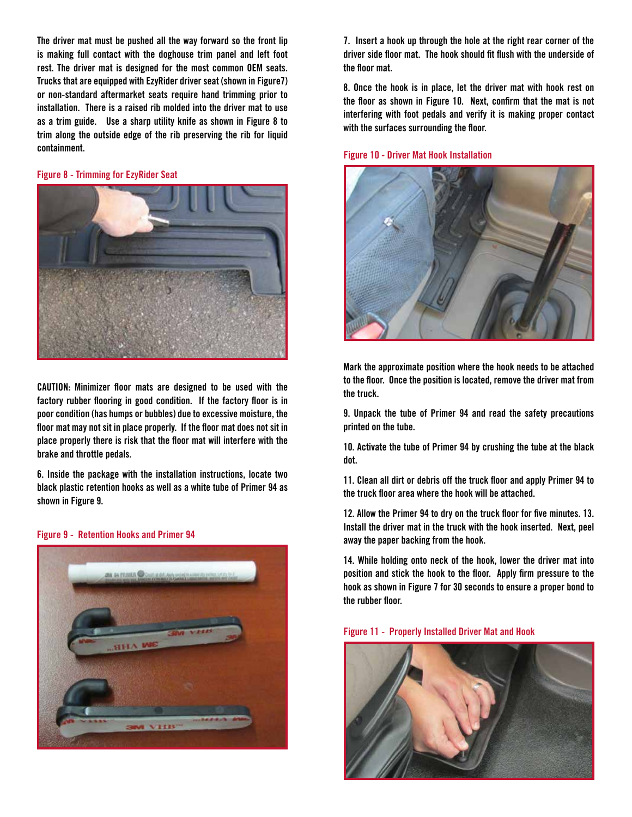**The driver mat must be pushed all the way forward so the front lip is making full contact with the doghouse trim panel and left foot rest. The driver mat is designed for the most common OEM seats. Trucks that are equipped with EzyRider driver seat (shown in Figure7) or non-standard aftermarket seats require hand trimming prior to installation. There is a raised rib molded into the driver mat to use as a trim guide. Use a sharp utility knife as shown in Figure 8 to trim along the outside edge of the rib preserving the rib for liquid containment.**

#### **Figure 8 - Trimming for EzyRider Seat**



**CAUTION: Minimizer floor mats are designed to be used with the factory rubber flooring in good condition. If the factory floor is in poor condition (has humps or bubbles) due to excessive moisture, the floor mat may not sit in place properly. If the floor mat does not sit in place properly there is risk that the floor mat will interfere with the brake and throttle pedals.** 

**6. Inside the package with the installation instructions, locate two black plastic retention hooks as well as a white tube of Primer 94 as shown in Figure 9.** 

**Figure 9 - Retention Hooks and Primer 94**



**7. Insert a hook up through the hole at the right rear corner of the driver side floor mat. The hook should fit flush with the underside of the floor mat.** 

**8. Once the hook is in place, let the driver mat with hook rest on the floor as shown in Figure 10. Next, confirm that the mat is not interfering with foot pedals and verify it is making proper contact with the surfaces surrounding the floor.**

#### **Figure 10 - Driver Mat Hook Installation**



**Mark the approximate position where the hook needs to be attached to the floor. Once the position is located, remove the driver mat from the truck.**

**9. Unpack the tube of Primer 94 and read the safety precautions printed on the tube.**

**10. Activate the tube of Primer 94 by crushing the tube at the black dot.**

**11. Clean all dirt or debris off the truck floor and apply Primer 94 to the truck floor area where the hook will be attached.**

**12. Allow the Primer 94 to dry on the truck floor for five minutes. 13. Install the driver mat in the truck with the hook inserted. Next, peel away the paper backing from the hook.**

**14. While holding onto neck of the hook, lower the driver mat into position and stick the hook to the floor. Apply firm pressure to the hook as shown in Figure 7 for 30 seconds to ensure a proper bond to the rubber floor.**